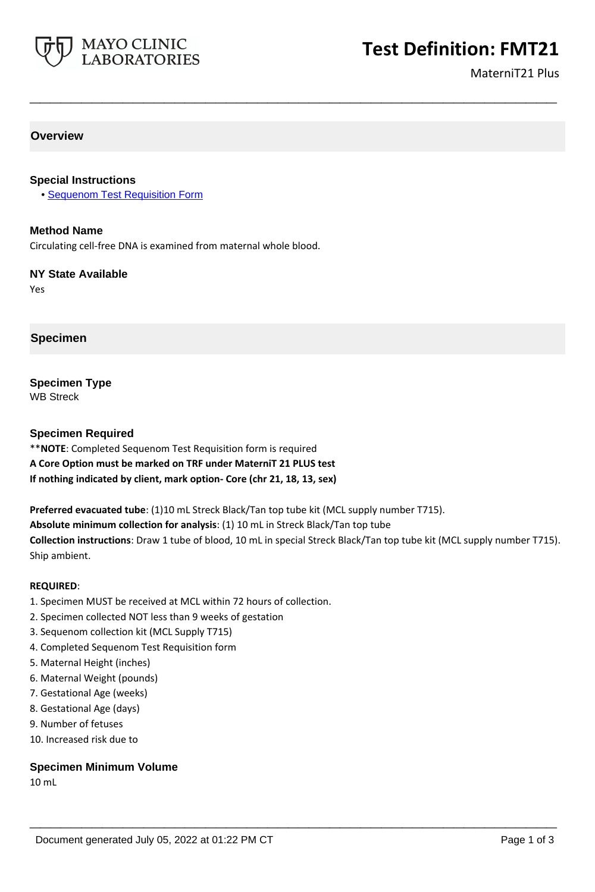

MaterniT21 Plus

## **Overview**

#### **Special Instructions**

• [Sequenom Test Requisition Form](https://www.mayocliniclabs.com/it-mmfiles/Sequenom_Test_Requisition_Form.pdf)

#### **Method Name**

Circulating cell-free DNA is examined from maternal whole blood.

#### **NY State Available**

Yes

## **Specimen**

# **Specimen Type**

WB Streck

#### **Specimen Required**

\*\***NOTE**: Completed Sequenom Test Requisition form is required

# **A Core Option must be marked on TRF under MaterniT 21 PLUS test**

**If nothing indicated by client, mark option- Core (chr 21, 18, 13, sex)**

**Preferred evacuated tube**: (1)10 mL Streck Black/Tan top tube kit (MCL supply number T715).

**Absolute minimum collection for analysis**: (1) 10 mL in Streck Black/Tan top tube

**Collection instructions**: Draw 1 tube of blood, 10 mL in special Streck Black/Tan top tube kit (MCL supply number T715). Ship ambient.

**\_\_\_\_\_\_\_\_\_\_\_\_\_\_\_\_\_\_\_\_\_\_\_\_\_\_\_\_\_\_\_\_\_\_\_\_\_\_\_\_\_\_\_\_\_\_\_\_\_\_\_**

**\_\_\_\_\_\_\_\_\_\_\_\_\_\_\_\_\_\_\_\_\_\_\_\_\_\_\_\_\_\_\_\_\_\_\_\_\_\_\_\_\_\_\_\_\_\_\_\_\_\_\_**

#### **REQUIRED**:

- 1. Specimen MUST be received at MCL within 72 hours of collection.
- 2. Specimen collected NOT less than 9 weeks of gestation
- 3. Sequenom collection kit (MCL Supply T715)
- 4. Completed Sequenom Test Requisition form
- 5. Maternal Height (inches)
- 6. Maternal Weight (pounds)
- 7. Gestational Age (weeks)
- 8. Gestational Age (days)
- 9. Number of fetuses
- 10. Increased risk due to

#### **Specimen Minimum Volume**

10 mL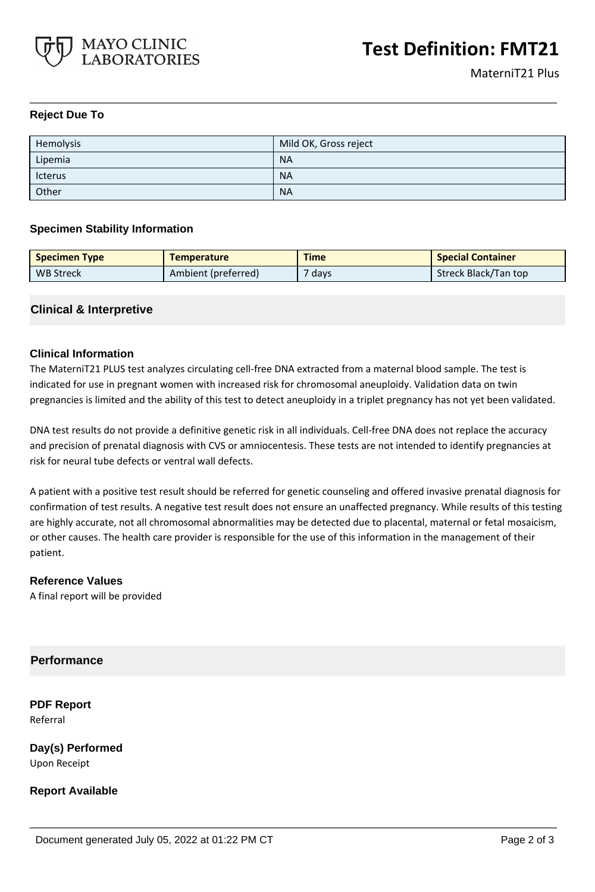

## **Reject Due To**

| Hemolysis | Mild OK, Gross reject |
|-----------|-----------------------|
| Lipemia   | <b>NA</b>             |
| Icterus   | <b>NA</b>             |
| Other     | <b>NA</b>             |

**\_\_\_\_\_\_\_\_\_\_\_\_\_\_\_\_\_\_\_\_\_\_\_\_\_\_\_\_\_\_\_\_\_\_\_\_\_\_\_\_\_\_\_\_\_\_\_\_\_\_\_**

#### **Specimen Stability Information**

| <b>Specimen Type</b> | <b>Temperature</b>  | <b>Time</b> | <b>Special Container</b> |
|----------------------|---------------------|-------------|--------------------------|
| <b>WB Streck</b>     | Ambient (preferred) | days        | Streck Black/Tan top     |

## **Clinical & Interpretive**

## **Clinical Information**

The MaterniT21 PLUS test analyzes circulating cell-free DNA extracted from a maternal blood sample. The test is indicated for use in pregnant women with increased risk for chromosomal aneuploidy. Validation data on twin pregnancies is limited and the ability of this test to detect aneuploidy in a triplet pregnancy has not yet been validated.

DNA test results do not provide a definitive genetic risk in all individuals. Cell-free DNA does not replace the accuracy and precision of prenatal diagnosis with CVS or amniocentesis. These tests are not intended to identify pregnancies at risk for neural tube defects or ventral wall defects.

A patient with a positive test result should be referred for genetic counseling and offered invasive prenatal diagnosis for confirmation of test results. A negative test result does not ensure an unaffected pregnancy. While results of this testing are highly accurate, not all chromosomal abnormalities may be detected due to placental, maternal or fetal mosaicism, or other causes. The health care provider is responsible for the use of this information in the management of their patient.

**\_\_\_\_\_\_\_\_\_\_\_\_\_\_\_\_\_\_\_\_\_\_\_\_\_\_\_\_\_\_\_\_\_\_\_\_\_\_\_\_\_\_\_\_\_\_\_\_\_\_\_**

#### **Reference Values**

A final report will be provided

## **Performance**

**PDF Report** Referral

**Day(s) Performed** Upon Receipt

**Report Available**